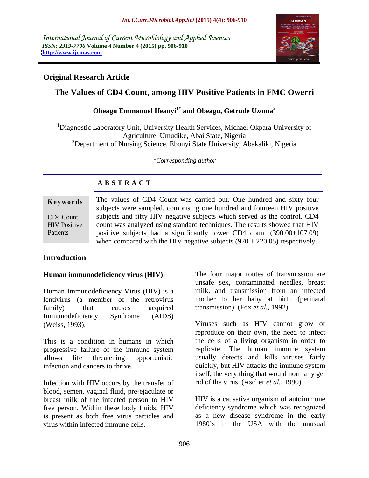International Journal of Current Microbiology and Applied Sciences *ISSN: 2319-7706* **Volume 4 Number 4 (2015) pp. 906-910 <http://www.ijcmas.com>**



# **Original Research Article**

# **The Values of CD4 Count, among HIV Positive Patients in FMC Owerri**

# **Obeagu Emmanuel Ifeanyi1\* and Obeagu, Getrude Uzoma<sup>2</sup>**

1Diagnostic Laboratory Unit, University Health Services, Michael Okpara University of Agriculture, Umudike, Abai State, Nigeria <sup>2</sup>Department of Nursing Science, Ebonyi State University, Abakaliki, Nigeria

*\*Corresponding author*

# **A B S T R A C T**

Patients

**Keywords** The values of CD4 Count was carried out. One hundred and sixty four subjects were sampled, comprising one hundred and fourteen HIV positive subjects and fifty HIV negative subjects which served as the control. CD4 CD4 Count, HIV Positive count was analyzed using standard techniques. The results showed that HIV positive subjects had a significantly lower CD4 count (390.00±107.09) when compared with the HIV negative subjects  $(970 \pm 220.05)$  respectively.

# **Introduction**

### **Human immunodeficiency virus (HIV)**

Human Immunodeficiency Virus (HIV) is a family) that causes acquired transmission). (Fox *et al.*, 1992). Immunodeficiency Syndrome (AIDS)

This is a condition in humans in which progressive failure of the immune system

Infection with HIV occurs by the transfer of blood, semen, vaginal fluid, pre-ejaculate or breast milk of the infected person to HIV free person. Within these body fluids, HIV is present as both free virus particles and virus within infected immune cells. 1980's in the USA with the unusual

lentivirus (a member of the retrovirus mother to her baby at birth (perinatal The four major routes of transmission are unsafe sex, contaminated needles, breast milk, and transmission from an infected

(Weiss, 1993). Viruses such as HIV cannot grow or allows life threatening opportunistic usually detects and kills viruses fairly infection and cancers to thrive. quickly, but HIV attacks the immune system reproduce on their own, the need to infect the cells of a living organism in order to replicate. The human immune system itself, the very thing that would normally get rid of the virus. (Ascher *et al.,* 1990)

> HIV is a causative organism of autoimmune deficiency syndrome which was recognized as a new disease syndrome in the early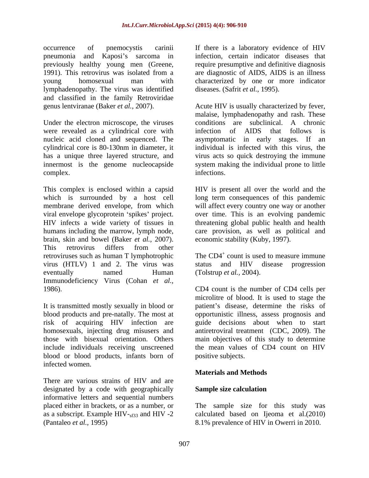occurrence of pnemocystis carinii If there is a laboratory evidence of HIV pneumonia and Kaposi's sarcoma in infection, certain indicator diseases that previously healthy young men (Greene, require presumptive and definitive diagnosis 1991). This retrovirus was isolated from a are diagnostic of AIDS, AIDS is an illness young homosexual man with characterized by one or more indicator lymphadenopathy. The virus was identified and classified in the family Retroviridae

Under the electron microscope, the viruses were revealed as a cylindrical core with infection of AIDS that follows is

This complex is enclosed within a capsid HIV is present all over the world and the which is surrounded by a host cell membrane derived envelope, from which will affect every country one way or another viral envelope glycoprotein 'spikes' project. over time. This is an evolving pandemic HIV infects a wide variety of tissues in threatening global public health and health humans including the marrow, lymph node, brain, skin and bowel (Baker *et al.,* 2007). This retrovirus differs from other retroviruses such as human T lymphotrophic virus (HTLV) 1 and 2. The virus was status and HIV disease progression eventually named Human (Tolstrup *et al.*, 2004). Immunodeficiency Virus (Cohan *et al.,*

risk of acquiring HIV infection are blood or blood products, infants born of infected women.

There are various strains of HIV and are designated by a code with geographically **Sample size calculation** informative letters and sequential numbers placed either in brackets, or as a number, or The sample size for this study was as a subscript. Example HIV- $_{\text{sf33}}$  and HIV -2<br>(Pantaleo *et al.*, 1995) (Pantaleo *et al.,* 1995) 8.1% prevalence of HIV in Owerri in 2010.

diseases. (Safrit *et al.*, 1995).

genus lentviranae (Baker *et al.,* 2007). Acute HIV is usually characterized by fever, nucleic acid cloned and sequenced. The asymptomatic in early stages. If an cylindrical core is 80-130nm in diameter, it individual is infected with this virus, the has a unique three layered structure, and virus acts so quick destroying the immune innermost is the genome nucleocapside system making the individual prone to little complex. The complexed complexed infections. malaise, lymphadenopathy and rash. These conditions are subclinical. A chronic infection of AIDS that follows is infections.

> long term consequences of this pandemic care provision, as well as political and economic stability (Kuby, 1997).

The CD4<sup>+</sup> count is used to measure immune status and HIV disease progression (Tolstrup *et al.,* 2004).

1986). CD4 count is the number of CD4 cells per It is transmitted mostly sexually in blood or patient's disease, determine the risks of blood products and pre-natally. The most at opportunistic illness, assess prognosis and homosexuals, injecting drug misusers and antiretroviral treatment (CDC, 2009). The those with bisexual orientation. Others main objectives of this study to determine include individuals receiving unscreened the mean values of CD4 count on HIV microlitre of blood. It is used to stage the guide decisions about when to start positive subjects.

# **Materials and Methods**

### **Sample size calculation**

calculated based on Ijeoma et al.(2010)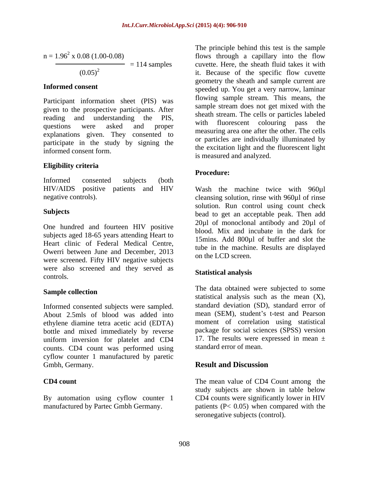$$
n = 1.962 \times 0.08 (1.00-0.08)
$$
  
(0.05)<sup>2</sup> = 114 samples

Participant information sheet (PIS) was given to the prospective participants. After reading and understanding the PIS, sine with fluorescent colouring pass the questions were asked and proper with hubblescent colouring pass the explanations given. They consented to participate in the study by signing the informed consent form.

### **Eligibility criteria**

Informed consented subjects (both

One hundred and fourteen HIV positive subjects aged 18-65 years attending Heart to Heart clinic of Federal Medical Centre, Owerri between June and December, 2013 were screened. Fifty HIV negative subjects were also screened and they served as **Statistical analysis** controls.

Informed consented subjects were sampled. About 2.5mls of blood was added into ethylene diamine tetra acetic acid (EDTA) bottle and mixed immediately by reverse uniform inversion for platelet and CD4 counts. CD4 count was performed using cyflow counter 1 manufactured by paretic Gmbh, Germany. **Result and Discussion** 

By automation using cyflow counter 1

 $n = 1.96^2$  x 0.08 (1.00-0.08) flows through a capillary into the flow  $= 114$  samples cuvette. Here, the sheath fluid takes it with  $(0.05)^2$  it. Because of the specific flow cuvette **Informed consent** speeded up. You get a very narrow, laminar The principle behind this test is the sample geometry the sheath and sample current are flowing sample stream. This means, the sample stream does not get mixed with the sheath stream. The cells or particles labeled with fluorescent colouring measuring area one after the other. The cells or particles are individually illuminated by the excitation light and the fluorescent light is measured and analyzed.

### **Procedure:**

HIV/AIDS positive patients and HIV Wash the machine twice with 960µl negative controls). cleansing solution, rinse with 960µl of rinse **Subjects Subjects bead** to get an acceptable peak. Then add solution. Run control using count check 20µl of monoclonal antibody and 20µl of blood. Mix and incubate in the dark for 15mins. Add 800µl of buffer and slot the tube in the machine. Results are displayed on the LCD screen.

### **Statistical analysis**

**Sample collection** The data obtained were subjected to some statistical analysis such as the mean  $(X)$ , standard deviation (SD), standard error of mean (SEM), student's t-test and Pearson moment of correlation using statistical package for social sciences (SPSS) version 17. The results were expressed in mean  $\pm$ standard error of mean.

# **Result and Discussion**

**CD4 count** The mean value of CD4 Count among the manufactured by Partec Gmbh Germany. patients (P< 0.05) when compared with the study subjects are shown in table below CD4 counts were significantly lower in HIV seronegative subjects (control).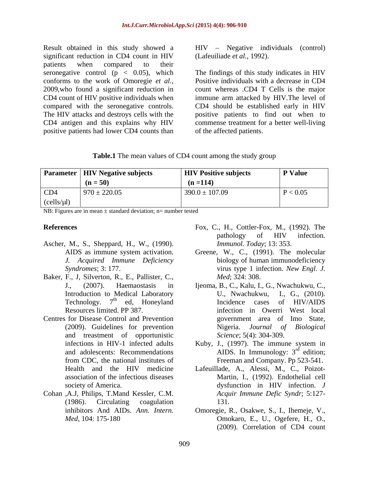Result obtained in this study showed a HIV – Negative individuals (control) significant reduction in CD4 count in HIV patients when compared to their conforms to the work of Omoregie *et al.,* positive patients had lower CD4 counts than

(Lafeuiliade *et al.,* 1992).

seronegative control (p < 0.05), which The findings of this study indicates in HIV 2009,who found a significant reduction in count whereas .CD4 T Cells is the major CD4 count of HIV positive individuals when immune arm attacked by HIV.The level of compared with the seronegative controls. CD4 should be established early in HIV The HIV attacks and destroys cells with the positive patients to find out when to CD4 antigen and this explains why HIV commense treatment for a better well-living Positive individuals with a decrease in CD4 of the affected patients.

| Table.1 The mean values of CD4 count among the study group |  |
|------------------------------------------------------------|--|
|                                                            |  |

|            | <b>Parameter   HIV Negative subjects</b> | <b>HIV Positive subjects</b> | <b>P</b> Value |
|------------|------------------------------------------|------------------------------|----------------|
|            | $(n = 50)$                               | $(n = 114)$                  |                |
| CD4        | $970 \pm 220.05$                         | $390.0 \pm 107.09$           | < 0.05         |
| (cells/µl) |                                          |                              |                |

NB: Figures are in mean  $\pm$  standard deviation; n= number tested

- Ascher, M., S., Sheppard, H., W., (1990).
- Baker, F., J, Silverton, R., E., Pallister, C.,
- Centres for Disease Control and Prevention and treastment of opportunistic
- Cohan ,A.J, Philips, T.Mand Kessler, C.M.
- **References** Fox, C., H., Cottler-Fox, M., (1992). The pathology of HIV infection. *Immunol. Today*; 13: 353.
	- AIDS as immune system activation. Greene, W., C., (1991). The molecular *J. Acquired Immune Deficiency*  biology of human immunodeficiency *Syndromes*; 3: 177. virus type 1 infection. *New Engl. J. Med*; 324: 308.
	- J., (2007). Haemaostasis in Ijeoma, B., C., Kalu, I., G., Nwachukwu, C., Introduction to Medical Laboratory <br>
	Technology. 7<sup>th</sup> ed, Honeyland **Incidence** cases of HIV/AIDS Technology. 7<sup>th</sup> ed, Honeyland Incidence cases of HIV/AIDS Resources limited. PP 387. infection in Owerri West local (2009). Guidelines for prevention Nigeria. *Journal of Biological* U., Nwachukwu, government area of Imo State, *Science*; 5(4): 304-309.
	- infections in HIV-1 infected adults Kuby, J., (1997). The immune system in and adolescents: Recommendations  $\triangle$  AIDS. In Immunology:  $3^{rd}$  edition; from CDC, the national institutes of Freeman and Company. Pp 523-541.  $r\ddot{d}$  odition: edition;
	- Health and the HIV medicine Lafeuillade, A., Alessi, M., C., Poizot association of the infectious diseases Martin, I., (1992). Endothelial cell society of America. dysfunction in HIV infection. *J*  (1986). Circulating coagulation *Acquir Immune Defic Syndr*; 5:127- 131.
	- inhibitors And AIDs. *Ann. Intern.* Omoregie, R., Osakwe, S., I., Ihemeje, V., *Med*, 104: 175-180 Omokaro, E., U., Ogefere, H., O., (2009). Correlation of CD4 count